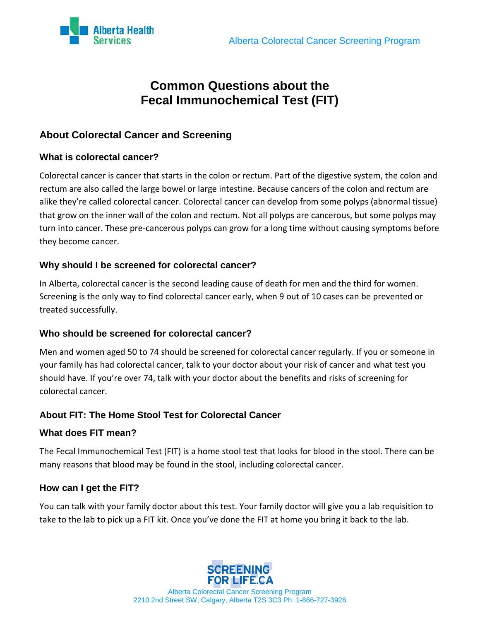

# **Common Questions about the Fecal Immunochemical Test (FIT)**

## **About Colorectal Cancer and Screening**

## **What is colorectal cancer?**

Colorectal cancer is cancer that starts in the colon or rectum. Part of the digestive system, the colon and rectum are also called the large bowel or large intestine. Because cancers of the colon and rectum are alike they're called colorectal cancer. Colorectal cancer can develop from some polyps (abnormal tissue) that grow on the inner wall of the colon and rectum. Not all polyps are cancerous, but some polyps may turn into cancer. These pre-cancerous polyps can grow for a long time without causing symptoms before they become cancer.

#### **Why should I be screened for colorectal cancer?**

In Alberta, colorectal cancer is the second leading cause of death for men and the third for women. Screening is the only way to find colorectal cancer early, when 9 out of 10 cases can be prevented or treated successfully.

## **Who should be screened for colorectal cancer?**

Men and women aged 50 to 74 should be screened for colorectal cancer regularly. If you or someone in your family has had colorectal cancer, talk to your doctor about your risk of cancer and what test you should have. If you're over 74, talk with your doctor about the benefits and risks of screening for colorectal cancer.

## **About FIT: The Home Stool Test for Colorectal Cancer**

#### **What does FIT mean?**

The Fecal Immunochemical Test (FIT) is a home stool test that looks for blood in the stool. There can be many reasons that blood may be found in the stool, including colorectal cancer.

## **How can I get the FIT?**

You can talk with your family doctor about this test. Your family doctor will give you a lab requisition to take to the lab to pick up a FIT kit. Once you've done the FIT at home you bring it back to the lab.



Alberta Colorectal Cancer Screening Program 2210 2nd Street SW, Calgary, Alberta T2S 3C3 Ph: 1-866-727-3926